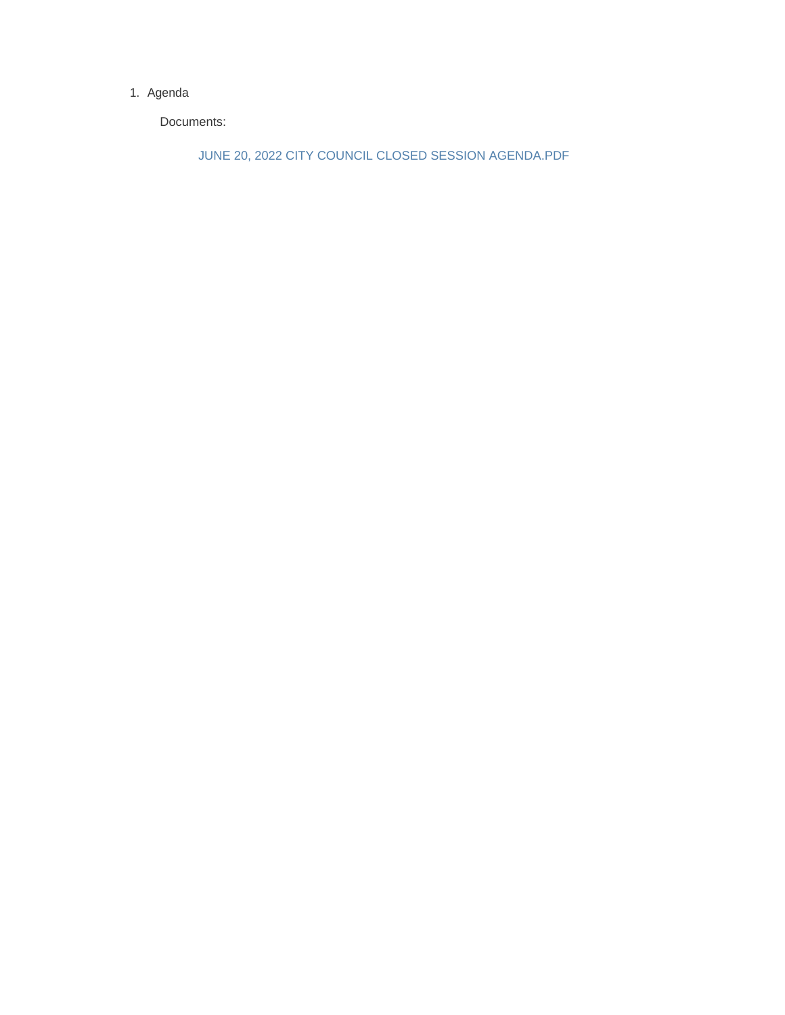#### 1. Agenda

Documents:

JUNE 20, 2022 CITY COUNCIL CLOSED SESSION AGENDA.PDF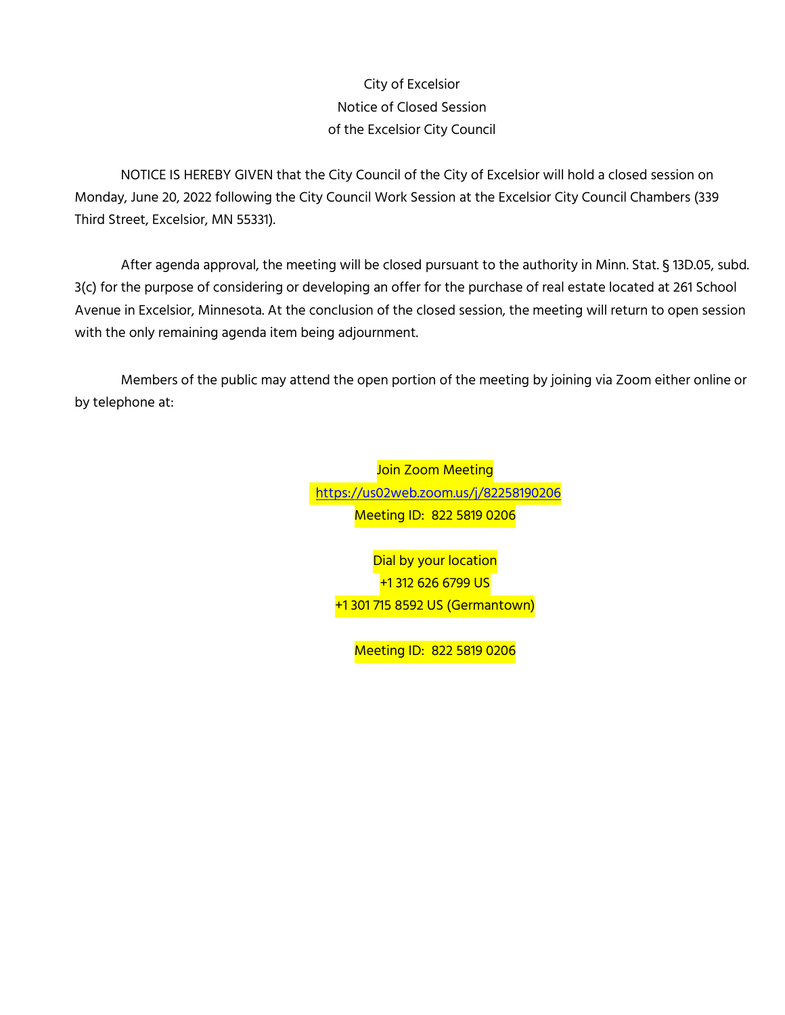# City of Excelsior Notice of Closed Session of the Excelsior City Council

NOTICE IS HEREBY GIVEN that the City Council of the City of Excelsior will hold a closed session on Monday, June 20, 2022 following the City Council Work Session at the Excelsior City Council Chambers (339 Third Street, Excelsior, MN 55331).

After agenda approval, the meeting will be closed pursuant to the authority in Minn. Stat. § 13D.05, subd. 3(c) for the purpose of considering or developing an offer for the purchase of real estate located at 261 School Avenue in Excelsior, Minnesota. At the conclusion of the closed session, the meeting will return to open session with the only remaining agenda item being adjournment.

Members of the public may attend the open portion of the meeting by joining via Zoom either online or by telephone at:

> Join Zoom Meeting <https://us02web.zoom.us/j/8>2258190206 Meeting ID: 822 5819 0206

Dial by your location +1 312 626 6799 US +1 301 715 8592 US (Germantown)

Meeting ID: 822 5819 0206